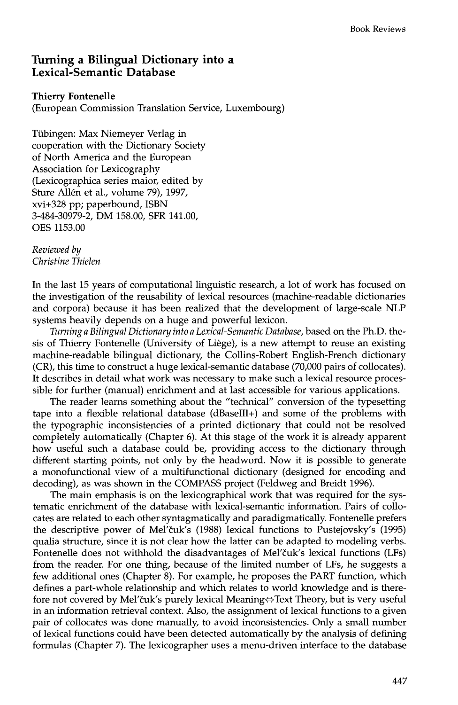## **Turning a Bilingual Dictionary into a Lexical-Semantic Database**

## **Thierry Fontenelle**

(European Commission Translation Service, Luxembourg)

Tübingen: Max Niemeyer Verlag in cooperation with the Dictionary Society of North America and the European Association for Lexicography (Lexicographica series maior, edited by Sture Allén et al., volume 79), 1997, xvi+328 pp; paperbound, ISBN 3-484-30979-2, DM 158.00, SFR 141.00, OES 1153.00

*Reviewed by Christine Thielen* 

In the last 15 years of computational linguistic research, a lot of work has focused on the investigation of the reusability of lexical resources (machine-readable dictionaries and corpora) because it has been realized that the development of large-scale NLP systems heavily depends on a huge and powerful lexicon.

*Turning a Bilingual Dictionary into a Lexical-Semantic Database,* based on the Ph.D. thesis of Thierry Fontenelle (University of Li6ge), is a new attempt to reuse an existing machine-readable bilingual dictionary, the Collins-Robert English-French dictionary (CR), this time to construct a huge lexical-semantic database (70,000 pairs of collocates). It describes in detail what work was necessary to make such a lexical resource processible for further (manual) enrichment and at last accessible for various applications.

The reader learns something about the "technical" conversion of the typesetting tape into a flexible relational database (dBaseIII+) and some of the problems with the typographic inconsistencies of a printed dictionary that could not be resolved completely automatically (Chapter 6). At this stage of the work it is already apparent how useful such a database could be, providing access to the dictionary through different starting points, not only by the headword. Now it is possible to generate a monofunctional view of a multifunctional dictionary (designed for encoding and decoding), as was shown in the COMPASS project (Feldweg and Breidt 1996).

The main emphasis is on the lexicographical work that was required for the systematic enrichment of the database with lexical-semantic information. Pairs of collocates are related to each other syntagmatically and paradigmatically. Fontenelle prefers the descriptive power of Mel'čuk's (1988) lexical functions to Pustejovsky's (1995) qualia structure, since it is not clear how the latter can be adapted to modeling verbs. Fontenelle does not withhold the disadvantages of Mel'čuk's lexical functions (LFs) from the reader. For one thing, because of the limited number of LFs, he suggests a few additional ones (Chapter 8). For example, he proposes the PART function, which defines a part-whole relationship and which relates to world knowledge and is therefore not covered by Mel'čuk's purely lexical Meaning $\Leftrightarrow$  Text Theory, but is very useful in an information retrieval context. Also, the assignment of lexical functions to a given pair of collocates was done manually, to avoid inconsistencies. Only a small number of lexical functions could have been detected automatically by the analysis of defining formulas (Chapter 7). The lexicographer uses a menu-driven interface to the database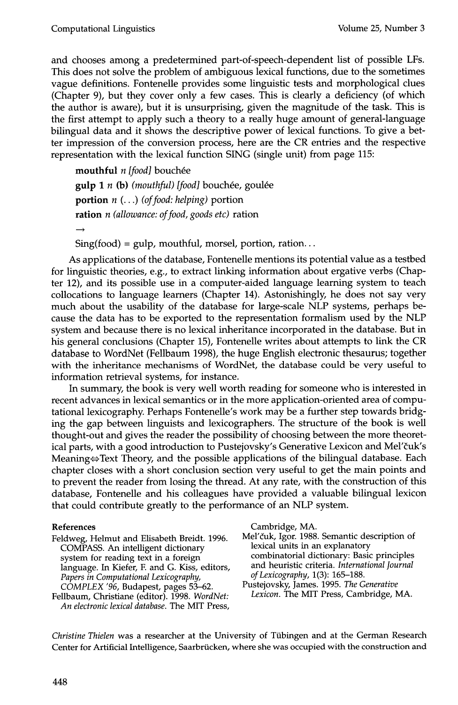and chooses among a predetermined part-of-speech-dependent list of possible LFs. This does not solve the problem of ambiguous lexical functions, due to the sometimes vague definitions. Fontenelle provides some linguistic tests and morphological clues (Chapter 9), but they cover only a few cases. This is clearly a deficiency (of which the author is aware), but it is unsurprising, given the magnitude of the task. This is the first attempt to apply such a theory to a really huge amount of general-language bilingual data and it shows the descriptive power of lexical functions. To give a better impression of the conversion process, here are the CR entries and the respective representation with the lexical function SING (single unit) from page 115:

**mouthful** *n* [food] bouchée gulp 1 n (b) (mouthful) [food] bouchée, goulée portion *n (...) (of food: helping)* portion ration *n (allowance: of food, goods etc)* ration

 $Sing(food) = gulp$ , mouthful, morsel, portion, ration...

As applications of the database, Fontenelle mentions its potential value as a testbed for linguistic theories, e.g., to extract linking information about ergative verbs (Chapter 12), and its possible use in a computer-aided language learning system to teach collocations to language learners (Chapter 14). Astonishingly, he does not say very much about the usability of the database for large-scale NLP systems, perhaps because the data has to be exported to the representation formalism used by the NLP system and because there is no lexical inheritance incorporated in the database. But in his general conclusions (Chapter 15), Fontenelle writes about attempts to link the CR database to WordNet (Fellbaum 1998), the huge English electronic thesaurus; together with the inheritance mechanisms of WordNet, the database could be very useful to information retrieval systems, for instance.

In summary, the book is very well worth reading for someone who is interested in recent advances in lexical semantics or in the more application-oriented area of computational lexicography. Perhaps Fontenelle's work may be a further step towards bridging the gap between linguists and lexicographers. The structure of the book is well thought-out and gives the reader the possibility of choosing between the more theoretical parts, with a good introduction to Pustejovsky's Generative Lexicon and Mel'čuk's Meaning $\Leftrightarrow$  Text Theory, and the possible applications of the bilingual database. Each chapter closes with a short conclusion section very useful to get the main points and to prevent the reader from losing the thread. At any rate, with the construction of this database, Fontenelle and his colleagues have provided a valuable bilingual lexicon that could contribute greatly to the performance of an NLP system.

## **References**

Feldweg, Helmut and Elisabeth Breidt. 1996. COMPASS. An intelligent dictionary system for reading text in a foreign language. In Kiefer, F. and G. Kiss, editors, *Papers in Computational Lexicography, COMPLEX '96,* Budapest, pages 53-62.

Fellbaum, Christiane (editor). 1998. *WordNet: An electronic lexical database.* The MIT Press, Cambridge, MA.

Mel'čuk, Igor. 1988. Semantic description of lexical units in an explanatory combinatorial dictionary: Basic principles and heuristic criteria. *International Journal of Lexicography,* 1(3): 165-188.

Pustejovsky, James. 1995. *The Generative Lexicon. The* MIT Press, Cambridge, MA.

*Christine Thielen* was a researcher at the University of Tiibingen and at the German Research Center for Artificial Intelligence, Saarbrücken, where she was occupied with the construction and